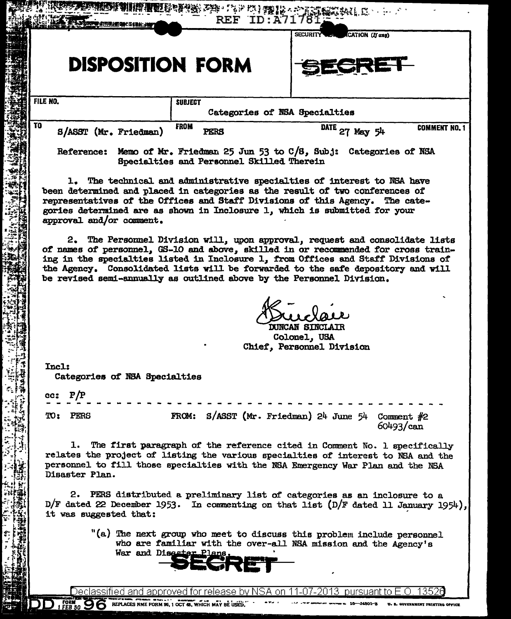|          |                                                                     |                               |                     | REF.                                                                                                                                                                                                                                                                                                                                                                                                                 | ID:A71781<br><b>SECURITY</b> | CATION (If any) |                              |                     |
|----------|---------------------------------------------------------------------|-------------------------------|---------------------|----------------------------------------------------------------------------------------------------------------------------------------------------------------------------------------------------------------------------------------------------------------------------------------------------------------------------------------------------------------------------------------------------------------------|------------------------------|-----------------|------------------------------|---------------------|
|          |                                                                     | <b>DISPOSITION FORM</b>       |                     |                                                                                                                                                                                                                                                                                                                                                                                                                      |                              | SRE             |                              |                     |
| FILE NO. |                                                                     |                               | <b>SUBJECT</b>      | Categories of NSA Specialties                                                                                                                                                                                                                                                                                                                                                                                        |                              |                 |                              |                     |
| TO       |                                                                     | S/ASST (Mr. Friedman)         | <b>FROM</b><br>PERS |                                                                                                                                                                                                                                                                                                                                                                                                                      |                              | DATE 27 May 54  |                              | <b>COMMENT NO.1</b> |
|          |                                                                     |                               |                     | Reference: Memo of Mr. Friedman 25 Jun 53 to C/S, Subj: Categories of NSA<br>Specialties and Personnel Skilled Therein                                                                                                                                                                                                                                                                                               |                              |                 |                              |                     |
|          |                                                                     | approval and/or comment.      |                     | 1. The technical and administrative specialties of interest to NSA have<br>been determined and placed in categories as the result of two conferences of<br>representatives of the Offices and Staff Divisions of this Agency. The cate-<br>gories determined are as shown in Inclosure 1, which is submitted for your                                                                                                |                              |                 |                              |                     |
|          |                                                                     |                               |                     | 2. The Personnel Division will, upon approval, request and consolidate lists<br>of names of personnel, GS-10 and above, skilled in or recommended for cross train-<br>ing in the specialties listed in Inclosure 1, from Offices and Staff Divisions of<br>the Agency. Consolidated lists will be forwarded to the safe depository and will<br>be revised semi-annually as outlined above by the Personnel Division. |                              |                 |                              |                     |
|          | <b>DUNCAN SINCLAIR</b><br>Colonel, USA<br>Chief, Personnel Division |                               |                     |                                                                                                                                                                                                                                                                                                                                                                                                                      |                              |                 |                              |                     |
| Incl:    |                                                                     | Categories of NSA Specialties |                     |                                                                                                                                                                                                                                                                                                                                                                                                                      |                              |                 |                              |                     |
| CC:      | P/P                                                                 |                               |                     |                                                                                                                                                                                                                                                                                                                                                                                                                      |                              |                 |                              |                     |
| TO:      | PERS                                                                |                               | FROM:               | $S/ASST$ (Mr. Friedman) 24 June 54                                                                                                                                                                                                                                                                                                                                                                                   |                              |                 | Comment $#2$<br>$60493$ /can |                     |
|          | ı.<br>Disaster Plan.                                                |                               |                     | The first paragraph of the reference cited in Comment No. 1 specifically<br>relates the project of listing the various specialties of interest to NSA and the<br>personnel to fill those specialties with the NSA Emergency War Plan and the NSA                                                                                                                                                                     |                              |                 |                              |                     |
|          |                                                                     | it was suggested that:        |                     | 2. PERS distributed a preliminary list of categories as an inclosure to a<br>D/F dated 22 December 1953. In commenting on that list $(D/F$ dated 11 January 1954),                                                                                                                                                                                                                                                   |                              |                 |                              |                     |
|          |                                                                     | War and Disaster Plans.       |                     | "(a) The next group who meet to discuss this problem include personnel<br>who are familiar with the over-all NSA mission and the Agency's                                                                                                                                                                                                                                                                            |                              |                 |                              |                     |
|          |                                                                     |                               |                     | Declassified and approved for release by NSA on 11-07-2013 $\,$ pursuant to E.O. 13526 $\,$                                                                                                                                                                                                                                                                                                                          |                              |                 |                              |                     |

1901

DD 1 FEB 50 96 REPLACES NME FORM 96, 1 OCT 48, WHICH MAY BE USED.  $\sim 200$   $\mu$ **Learn Street**  $-16$ -54801-8 U. S. GOVERNMENT PRINTING OFFICE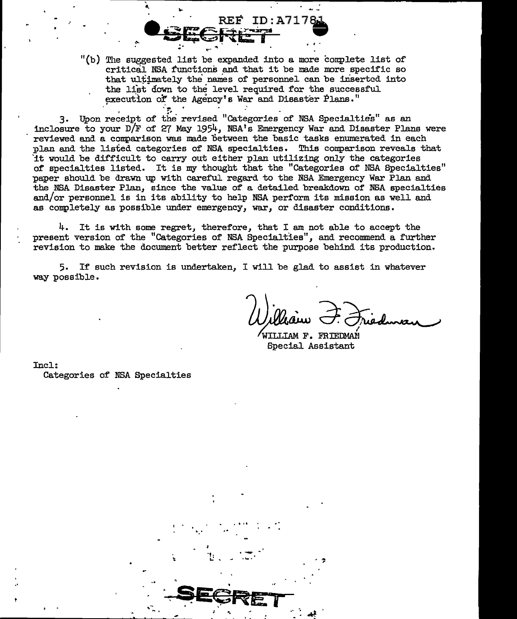"(b) The suggested list be expanded into a more complete list of critical NSA functions and that it be made more specific so that ultimately the names of personnel can be inserted into the list down to the level required for the successful execution of the Agency's War and Disaster Plans."

REF ID:A7178

3. Upon receipt of the revised "Categories of NSA Specialties" as an inclosure to your D/F of 27 May 1954, NSA's Emergency War and Disaster Plans were reviewed and a comparison was made between the basic tasks enumerated in each plan and the listed categories of NSA specialties. This comparison reveals that it would be difficult to carry out either plan utilizing only the categories of specialties listed. It is my thought that the "Categories of NSA Specialties" paper should be drawn up with careful regard to the NSA Emergency War Plan and the NSA Disaster Plan, since the value of a detailed breakdown of NSA specialties and/or personnel is in its ability to help NSA perform its mission as well and as completely as possible under emergency, war, or disaster conditions.

4. It is with some regret, therefore, that I am not able to accept the present version of the "Categories of NSA Specialties", and recommend a further revision to make the document better reflect the purpose behind its production.

5. If such revision is undertaken, I will be glad to assist in whatever way possible.

WILLIAM F. FRIEDMAN Special Assistant

Incl: Categories of NSA Specialties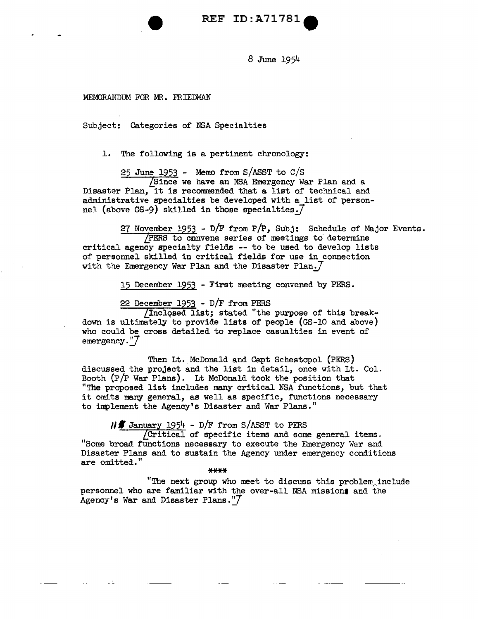REF ID: A71781

8 June 1951+

MEMORANDUM FOR MR. FRIEDMAN

Subject: Categories of NSA Specialties

l. The following is a pertinent chronology:

25 June 1953 - Memo from S/ASST to  $C/S$ [Since we have an NSA Emergency War Plan and a Disaster Plan, it is recommended that a list of technical and administrative specialties be developed with a list of personnel (above GS-9) skilled in those specialties. $7$ 

27 November 1953 -  $D/F$  from  $P/P$ , Subj: Schedule of Major Events. *LPERS* to convene series of meetings to' determine critical agency specialty fields -- to be used to develop lists of personnel skilled in critical fields for use in connection with the Emergency War Plan and the Disaster Plan. $7$ 

15 December 1953 - First meeting convened by PERS.

22 December 1953 -  $D/F$  from PERS

Inclqsed list; stated "the purpose of this breakdown is ultimately to provide lists of people (GS-10 and above) who could be cross detailed to replace casualties in event of emergency."7

Then Lt. McDonald and Capt Schestopol (PERS) discussed the project and the list in detail, once with Lt. Col.<br>Booth (P/P War Plans). Lt McDonald took the position that "The proposed list includes many critical NSA functions, but that it omits many general, as well as specific, functions necessary to implement the Agency's Disaster and War Plans."

 $\frac{1954}{\text{Critical of specific items and some general items}}$ . "Some broad functions necessary to execute the Emergency War and Disaster Plans and to sustain the Agency under emergency conditions are omitted."

"The next group who meet to discuss this problem, include personnel who are familiar with the over-all NSA missions and the Agency's War and Disaster Plans." $7$